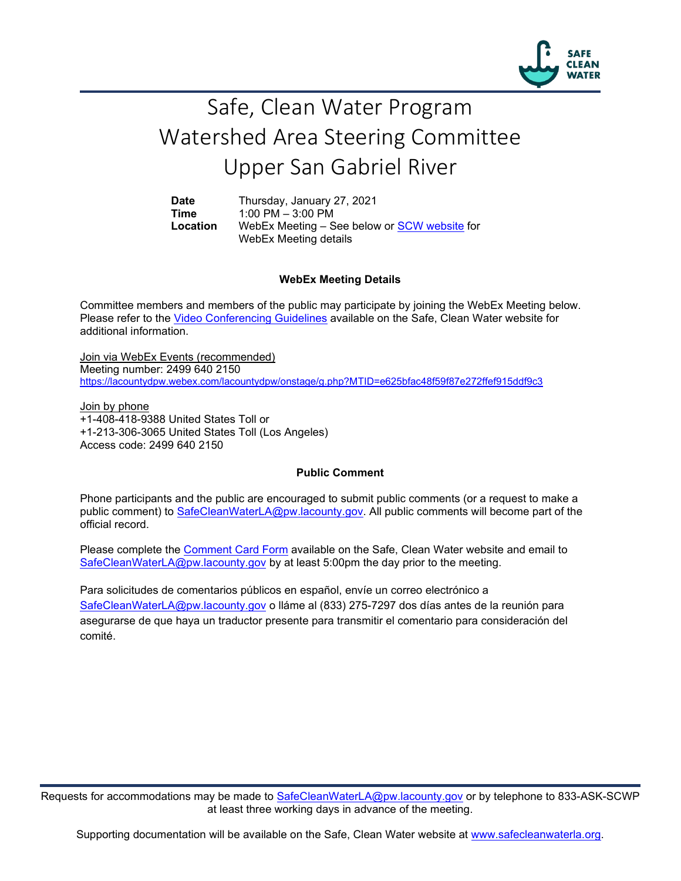

## Safe, Clean Water Program Watershed Area Steering Committee Upper San Gabriel River

**Date** Thursday, January 27, 2021<br>**Time** 1:00 PM - 3:00 PM **Time** 1:00 PM – 3:00 PM Location WebEx Meeting - See below or **SCW website** for WebEx Meeting details

## **WebEx Meeting Details**

Committee members and members of the public may participate by joining the WebEx Meeting below. Please refer to the [Video Conferencing Guidelines](https://safecleanwaterla.org/video-conference-guidelines/) available on the Safe, Clean Water website for additional information.

Join via WebEx Events (recommended) Meeting number: 2499 640 2150 <https://lacountydpw.webex.com/lacountydpw/onstage/g.php?MTID=e625bfac48f59f87e272ffef915ddf9c3>

Join by phone +1-408-418-9388 United States Toll or +1-213-306-3065 United States Toll (Los Angeles) Access code: 2499 640 2150

## **Public Comment**

Phone participants and the public are encouraged to submit public comments (or a request to make a public comment) to [SafeCleanWaterLA@pw.lacounty.gov.](mailto:SafeCleanWaterLA@pw.lacounty.gov) All public comments will become part of the official record.

Please complete the Comment [Card Form](https://safecleanwaterla.org/wp-content/uploads/2020/04/Comment-Card-Form.pdf) available on the Safe, Clean Water website and email to [SafeCleanWaterLA@pw.lacounty.gov](mailto:SafeCleanWaterLA@pw.lacounty.govb) by at least 5:00pm the day prior to the meeting.

Para solicitudes de comentarios públicos en español, envíe un correo electrónico a [SafeCleanWaterLA@pw.lacounty.gov](mailto:SafeCleanWaterLA@pw.lacounty.gov) o lláme al (833) 275-7297 dos días antes de la reunión para asegurarse de que haya un traductor presente para transmitir el comentario para consideración del comité.

Requests for accommodations may be made to [SafeCleanWaterLA@pw.lacounty.gov](mailto:SafeCleanWaterLA@pw.lacounty.gov) or by telephone to 833-ASK-SCWP at least three working days in advance of the meeting.